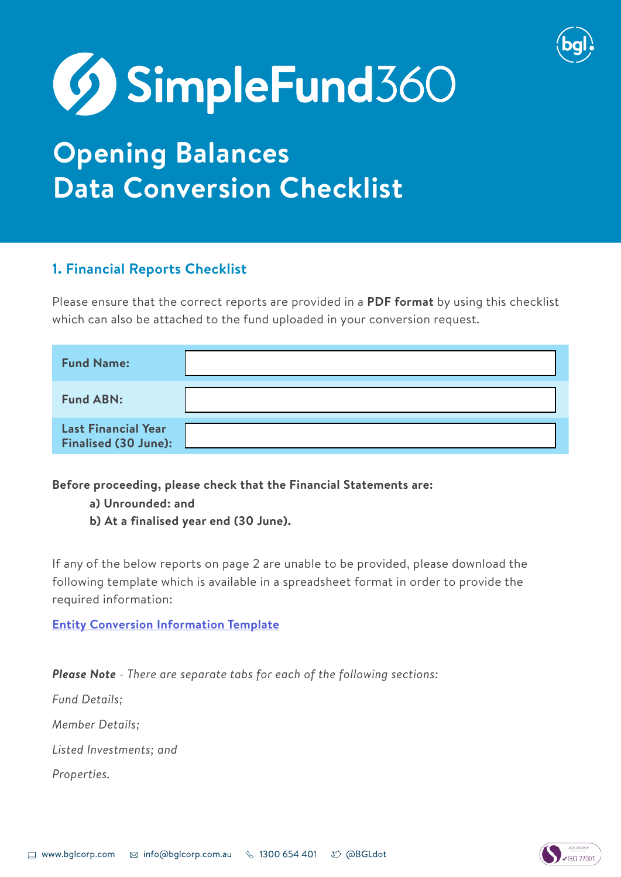

# **69 SimpleFund**360

# **Opening Balances Data Conversion Checklist**

### **1. Financial Reports Checklist**

Please ensure that the correct reports are provided in a **PDF format** by using this checklist which can also be attached to the fund uploaded in your conversion request.

| <b>Fund Name:</b>                                         |  |
|-----------------------------------------------------------|--|
| <b>Fund ABN:</b>                                          |  |
| <b>Last Financial Year</b><br><b>Finalised (30 June):</b> |  |

**Before proceeding, please check that the Financial Statements are:**

**a) Unrounded: and**

**b) At a finalised year end (30 June).**

If any of the below reports on page 2 are unable to be provided, please download the following template which is available in a spreadsheet format in order to provide the required information:

#### **[Entity Conversion Information Template](https://www.bglcorp.com/wp-content/uploads/2021/06/Fund-Conversions-Opening-Balances-Template.xlsx)**

*Please Note - There are separate tabs for each of the following sections:*

*Fund Details;*

*Member Details;*

*Listed Investments; and*

*Properties.*

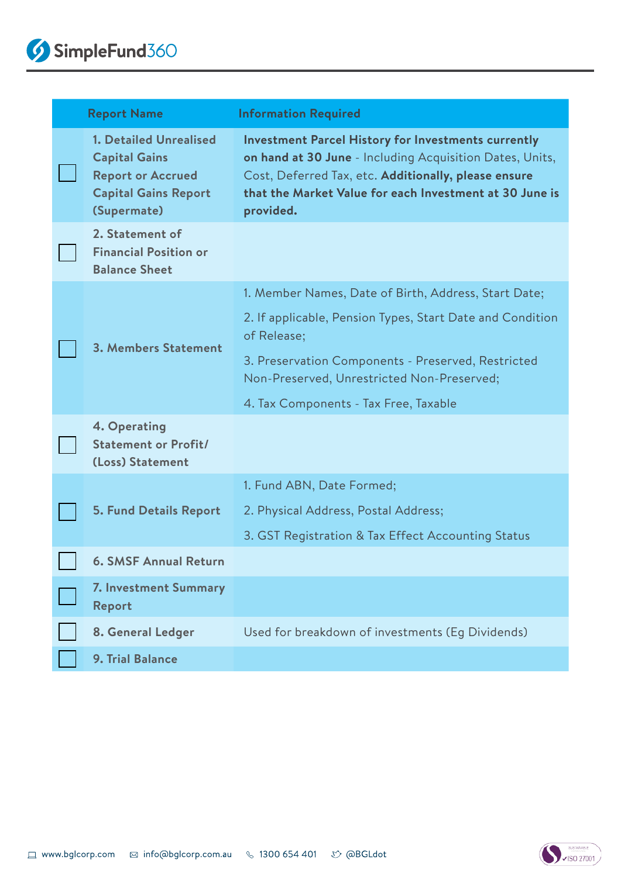| <b>Report Name</b>                                                                                                              | <b>Information Required</b>                                                                                                                                                                                                                            |
|---------------------------------------------------------------------------------------------------------------------------------|--------------------------------------------------------------------------------------------------------------------------------------------------------------------------------------------------------------------------------------------------------|
| <b>1. Detailed Unrealised</b><br><b>Capital Gains</b><br><b>Report or Accrued</b><br><b>Capital Gains Report</b><br>(Supermate) | <b>Investment Parcel History for Investments currently</b><br>on hand at 30 June - Including Acquisition Dates, Units,<br>Cost, Deferred Tax, etc. Additionally, please ensure<br>that the Market Value for each Investment at 30 June is<br>provided. |
| 2. Statement of<br><b>Financial Position or</b><br><b>Balance Sheet</b>                                                         |                                                                                                                                                                                                                                                        |
| 3. Members Statement                                                                                                            | 1. Member Names, Date of Birth, Address, Start Date;                                                                                                                                                                                                   |
|                                                                                                                                 | 2. If applicable, Pension Types, Start Date and Condition<br>of Release;                                                                                                                                                                               |
|                                                                                                                                 | 3. Preservation Components - Preserved, Restricted<br>Non-Preserved, Unrestricted Non-Preserved;                                                                                                                                                       |
|                                                                                                                                 | 4. Tax Components - Tax Free, Taxable                                                                                                                                                                                                                  |
| 4. Operating<br><b>Statement or Profit/</b><br>(Loss) Statement                                                                 |                                                                                                                                                                                                                                                        |
| <b>5. Fund Details Report</b>                                                                                                   | 1. Fund ABN, Date Formed;                                                                                                                                                                                                                              |
|                                                                                                                                 | 2. Physical Address, Postal Address;                                                                                                                                                                                                                   |
|                                                                                                                                 | 3. GST Registration & Tax Effect Accounting Status                                                                                                                                                                                                     |
| <b>6. SMSF Annual Return</b>                                                                                                    |                                                                                                                                                                                                                                                        |
| 7. Investment Summary<br>Report                                                                                                 |                                                                                                                                                                                                                                                        |
| 8. General Ledger                                                                                                               | Used for breakdown of investments (Eg Dividends)                                                                                                                                                                                                       |
| 9. Trial Balance                                                                                                                |                                                                                                                                                                                                                                                        |

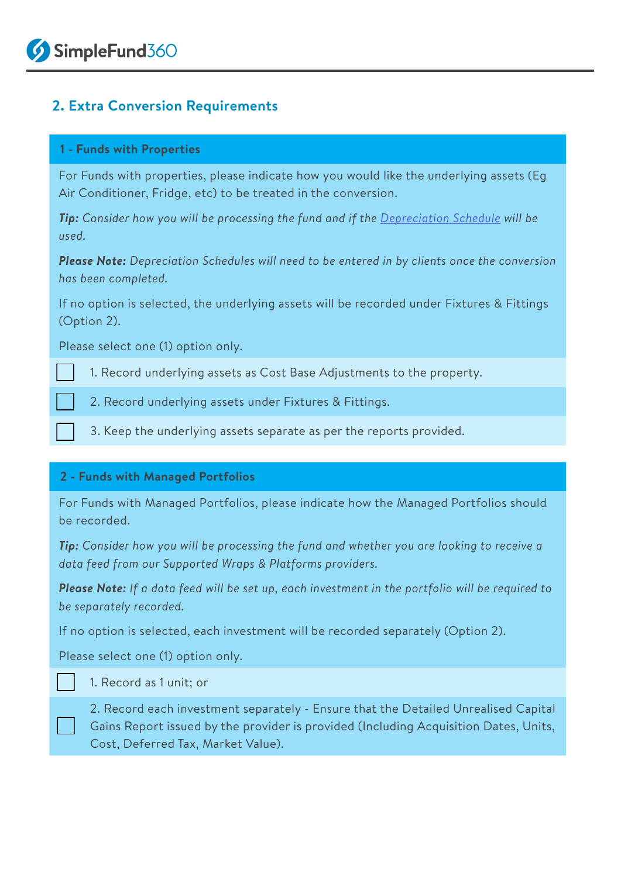#### **2. Extra Conversion Requirements**

#### **1 - Funds with Properties**

For Funds with properties, please indicate how you would like the underlying assets (Eg Air Conditioner, Fridge, etc) to be treated in the conversion.

**Tip:** Consider how you will be processing the fund and if the *[Depreciation Schedule](https://sf360.zendesk.com/hc/en-au/articles/360017536272)* will be *used.*

*Please Note: Depreciation Schedules will need to be entered in by clients once the conversion has been completed.*

If no option is selected, the underlying assets will be recorded under Fixtures & Fittings (Option 2).

Please select one (1) option only.

1. Record underlying assets as Cost Base Adjustments to the property.

2. Record underlying assets under Fixtures & Fittings.

3. Keep the underlying assets separate as per the reports provided.

#### **2 - Funds with Managed Portfolios**

For Funds with Managed Portfolios, please indicate how the Managed Portfolios should be recorded.

*Tip: Consider how you will be processing the fund and whether you are looking to receive a data feed from our Supported Wraps & Platforms providers.*

*Please Note: If a data feed will be set up, each investment in the portfolio will be required to be separately recorded.*

If no option is selected, each investment will be recorded separately (Option 2).

Please select one (1) option only.

1. Record as 1 unit; or

2. Record each investment separately - Ensure that the Detailed Unrealised Capital Gains Report issued by the provider is provided (Including Acquisition Dates, Units, Cost, Deferred Tax, Market Value).